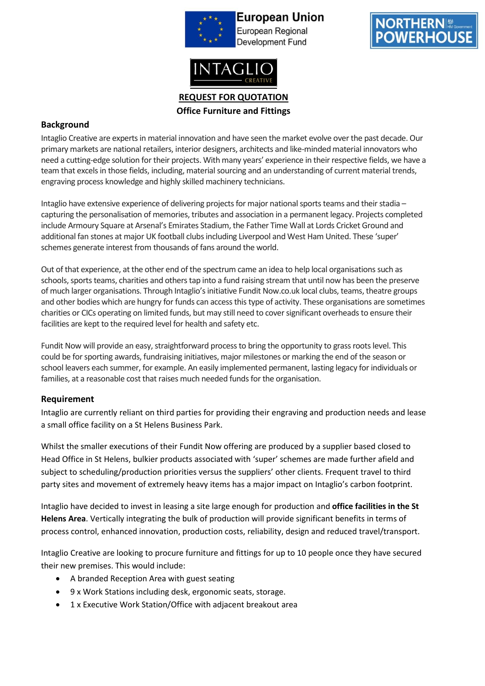

**European Union** European Regional **Development Fund** 



**REQUEST FOR QUOTATION Office Furniture and Fittings**

## **Background**

Intaglio Creative are experts in material innovation and have seen the market evolve over the past decade. Our primary markets are national retailers, interior designers, architects and like-minded material innovators who need a cutting-edge solution for their projects. With many years' experience in their respective fields, we have a team that excels in those fields, including, material sourcing and an understanding of current material trends, engraving process knowledge and highly skilled machinery technicians.

Intaglio have extensive experience of delivering projects for major national sports teams and their stadia – capturing the personalisation of memories, tributes and association in a permanent legacy. Projects completed include Armoury Square at Arsenal's Emirates Stadium, the Father Time Wall at Lords Cricket Ground and additional fan stones at major UK football clubs including Liverpool and West Ham United. These 'super' schemes generate interest from thousands of fans around the world.

Out of that experience, at the other end of the spectrum came an idea to help local organisations such as schools, sports teams, charities and others tap into a fund raising stream that until now has been the preserve of much larger organisations. Through Intaglio's initiative Fundit Now.co.uk local clubs, teams, theatre groups and other bodies which are hungry for funds can access this type of activity. These organisations are sometimes charities or CICs operating on limited funds, but may still need to cover significant overheads to ensure their facilities are kept to the required level for health and safety etc.

Fundit Now will provide an easy, straightforward process to bring the opportunity to grass roots level. This could be for sporting awards, fundraising initiatives, major milestones or marking the end of the season or school leavers each summer, for example. An easily implemented permanent, lasting legacy for individuals or families, at a reasonable cost that raises much needed funds for the organisation.

### **Requirement**

Intaglio are currently reliant on third parties for providing their engraving and production needs and lease a small office facility on a St Helens Business Park.

Whilst the smaller executions of their Fundit Now offering are produced by a supplier based closed to Head Office in St Helens, bulkier products associated with 'super' schemes are made further afield and subject to scheduling/production priorities versus the suppliers' other clients. Frequent travel to third party sites and movement of extremely heavy items has a major impact on Intaglio's carbon footprint.

Intaglio have decided to invest in leasing a site large enough for production and **office facilities in the St Helens Area**. Vertically integrating the bulk of production will provide significant benefits in terms of process control, enhanced innovation, production costs, reliability, design and reduced travel/transport.

Intaglio Creative are looking to procure furniture and fittings for up to 10 people once they have secured their new premises. This would include:

- A branded Reception Area with guest seating
- 9 x Work Stations including desk, ergonomic seats, storage.
- 1 x Executive Work Station/Office with adjacent breakout area